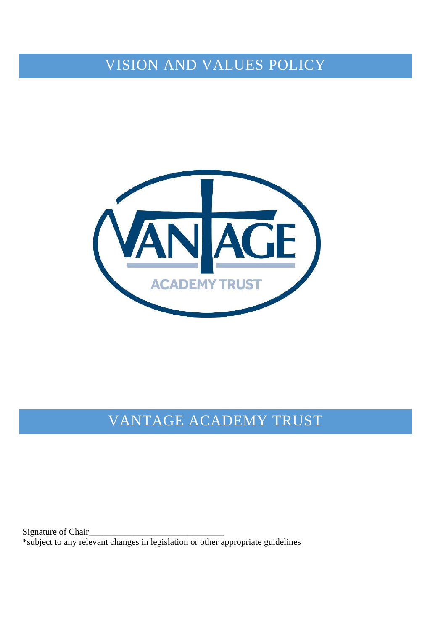VISION AND VALUES POLICY



## VANTAGE ACADEMY TRUST

Signature of Chair\_ \*subject to any relevant changes in legislation or other appropriate guidelines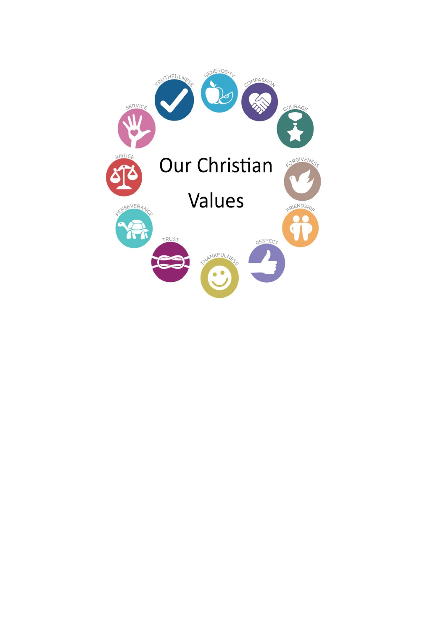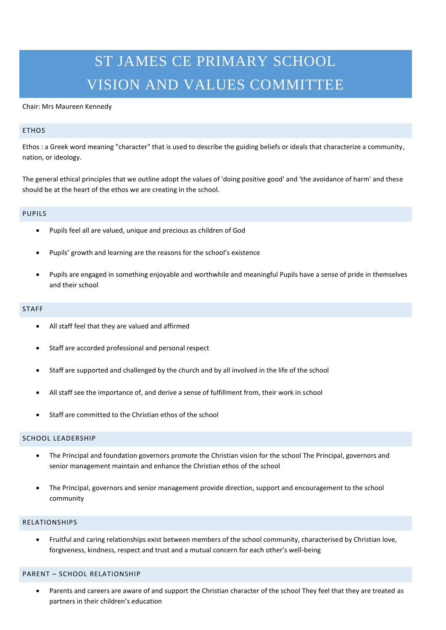# ST JAMES CE PRIMARY SCHOOL VISION AND VALUES COMMITTEE

#### Chair: Mrs Maureen Kennedy

## ETHOS

Ethos : a Greek word meaning "character" that is used to describe the guiding beliefs or ideals that characterize a community, nation, or ideology.

The general ethical principles that we outline adopt the values of 'doing positive good' and 'the avoidance of harm' and these should be at the heart of the ethos we are creating in the school.

## PUPILS

- Pupils feel all are valued, unique and precious as children of God
- Pupils' growth and learning are the reasons for the school's existence
- Pupils are engaged in something enjoyable and worthwhile and meaningful Pupils have a sense of pride in themselves and their school

#### STAFF

- All staff feel that they are valued and affirmed
- Staff are accorded professional and personal respect
- Staff are supported and challenged by the church and by all involved in the life of the school
- All staff see the importance of, and derive a sense of fulfillment from, their work in school
- Staff are committed to the Christian ethos of the school

## SCHOOL LEADERSHIP

- The Principal and foundation governors promote the Christian vision for the school The Principal, governors and senior management maintain and enhance the Christian ethos of the school
- The Principal, governors and senior management provide direction, support and encouragement to the school community

#### RELATIONSHIPS

 Fruitful and caring relationships exist between members of the school community, characterised by Christian love, forgiveness, kindness, respect and trust and a mutual concern for each other's well-being

#### PARENT – SCHOOL RELATIONSHIP

 Parents and careers are aware of and support the Christian character of the school They feel that they are treated as partners in their children's education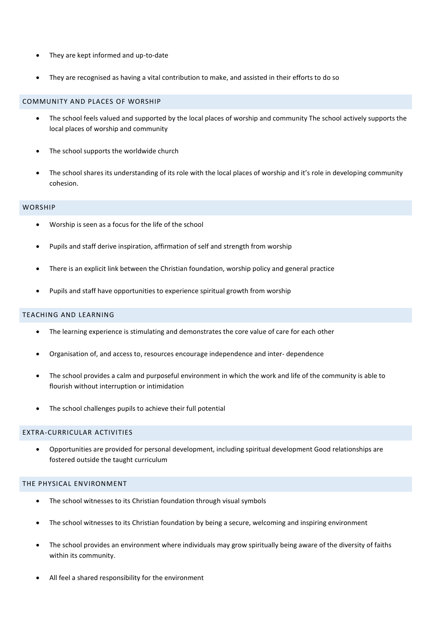- They are kept informed and up-to-date
- They are recognised as having a vital contribution to make, and assisted in their efforts to do so

## COMMUNITY AND PLACES OF WORSHIP

- The school feels valued and supported by the local places of worship and community The school actively supports the local places of worship and community
- The school supports the worldwide church
- The school shares its understanding of its role with the local places of worship and it's role in developing community cohesion.

## **WORSHIP**

- Worship is seen as a focus for the life of the school
- Pupils and staff derive inspiration, affirmation of self and strength from worship
- There is an explicit link between the Christian foundation, worship policy and general practice
- Pupils and staff have opportunities to experience spiritual growth from worship

## TEACHING AND LEARNING

- The learning experience is stimulating and demonstrates the core value of care for each other
- Organisation of, and access to, resources encourage independence and inter- dependence
- The school provides a calm and purposeful environment in which the work and life of the community is able to flourish without interruption or intimidation
- The school challenges pupils to achieve their full potential

## EXTRA-CURRICULAR ACTIVITIES

 Opportunities are provided for personal development, including spiritual development Good relationships are fostered outside the taught curriculum

## THE PHYSICAL ENVIRONMENT

- The school witnesses to its Christian foundation through visual symbols
- The school witnesses to its Christian foundation by being a secure, welcoming and inspiring environment
- The school provides an environment where individuals may grow spiritually being aware of the diversity of faiths within its community.
- All feel a shared responsibility for the environment